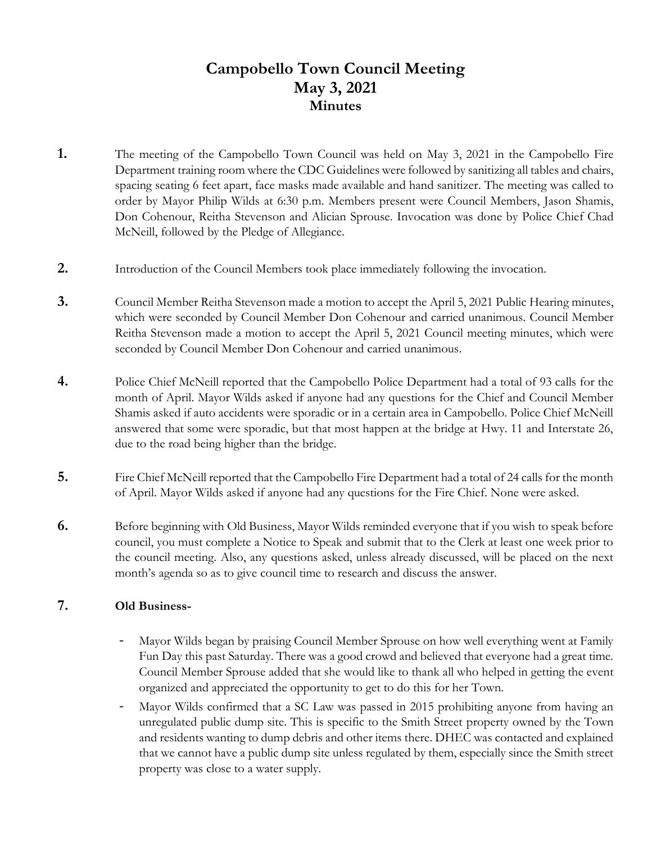# **Campobello Town Council Meeting May 3, 2021 Minutes**

- **1.** The meeting of the Campobello Town Council was held on May 3, 2021 in the Campobello Fire Department training room where the CDC Guidelines were followed by sanitizing all tables and chairs, spacing seating 6 feet apart, face masks made available and hand sanitizer. The meeting was called to order by Mayor Philip Wilds at 6:30 p.m. Members present were Council Members, Jason Shamis, Don Cohenour, Reitha Stevenson and Alician Sprouse. Invocation was done by Police Chief Chad McNeill, followed by the Pledge of Allegiance.
- **2.** Introduction of the Council Members took place immediately following the invocation.
- **3.** Council Member Reitha Stevenson made a motion to accept the April 5, 2021 Public Hearing minutes, which were seconded by Council Member Don Cohenour and carried unanimous. Council Member Reitha Stevenson made a motion to accept the April 5, 2021 Council meeting minutes, which were seconded by Council Member Don Cohenour and carried unanimous.
- **4.** Police Chief McNeill reported that the Campobello Police Department had a total of 93 calls for the month of April. Mayor Wilds asked if anyone had any questions for the Chief and Council Member Shamis asked if auto accidents were sporadic or in a certain area in Campobello. Police Chief McNeill answered that some were sporadic, but that most happen at the bridge at Hwy. 11 and Interstate 26, due to the road being higher than the bridge.
- **5.** Fire Chief McNeill reported that the Campobello Fire Department had a total of 24 calls for the month of April. Mayor Wilds asked if anyone had any questions for the Fire Chief. None were asked.
- **6.** Before beginning with Old Business, Mayor Wilds reminded everyone that if you wish to speak before council, you must complete a Notice to Speak and submit that to the Clerk at least one week prior to the council meeting. Also, any questions asked, unless already discussed, will be placed on the next month's agenda so as to give council time to research and discuss the answer.

## **7. Old Business-**

- Mayor Wilds began by praising Council Member Sprouse on how well everything went at Family Fun Day this past Saturday. There was a good crowd and believed that everyone had a great time. Council Member Sprouse added that she would like to thank all who helped in getting the event organized and appreciated the opportunity to get to do this for her Town.
- Mayor Wilds confirmed that a SC Law was passed in 2015 prohibiting anyone from having an unregulated public dump site. This is specific to the Smith Street property owned by the Town and residents wanting to dump debris and other items there. DHEC was contacted and explained that we cannot have a public dump site unless regulated by them, especially since the Smith street property was close to a water supply.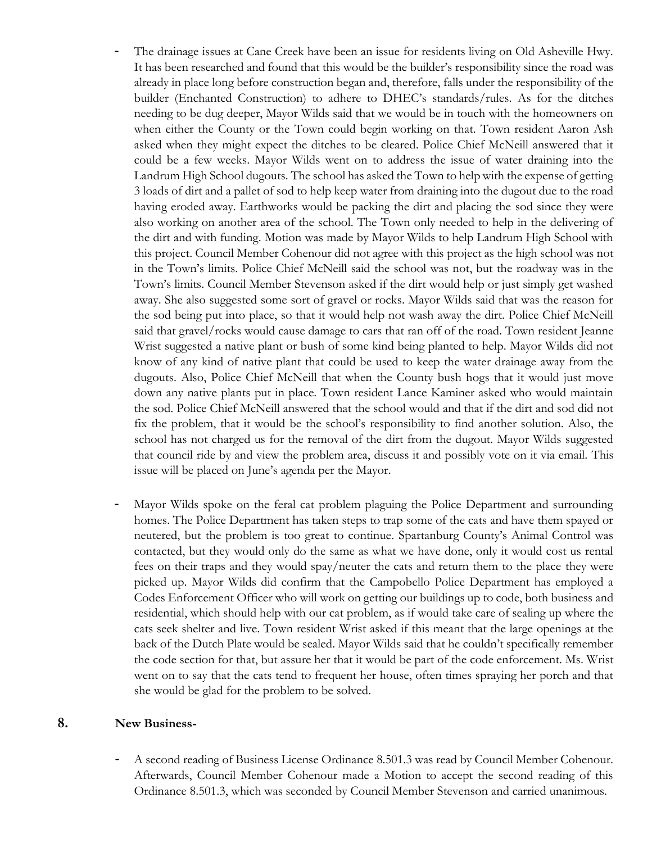- The drainage issues at Cane Creek have been an issue for residents living on Old Asheville Hwy. It has been researched and found that this would be the builder's responsibility since the road was already in place long before construction began and, therefore, falls under the responsibility of the builder (Enchanted Construction) to adhere to DHEC's standards/rules. As for the ditches needing to be dug deeper, Mayor Wilds said that we would be in touch with the homeowners on when either the County or the Town could begin working on that. Town resident Aaron Ash asked when they might expect the ditches to be cleared. Police Chief McNeill answered that it could be a few weeks. Mayor Wilds went on to address the issue of water draining into the Landrum High School dugouts. The school has asked the Town to help with the expense of getting 3 loads of dirt and a pallet of sod to help keep water from draining into the dugout due to the road having eroded away. Earthworks would be packing the dirt and placing the sod since they were also working on another area of the school. The Town only needed to help in the delivering of the dirt and with funding. Motion was made by Mayor Wilds to help Landrum High School with this project. Council Member Cohenour did not agree with this project as the high school was not in the Town's limits. Police Chief McNeill said the school was not, but the roadway was in the Town's limits. Council Member Stevenson asked if the dirt would help or just simply get washed away. She also suggested some sort of gravel or rocks. Mayor Wilds said that was the reason for the sod being put into place, so that it would help not wash away the dirt. Police Chief McNeill said that gravel/rocks would cause damage to cars that ran off of the road. Town resident Jeanne Wrist suggested a native plant or bush of some kind being planted to help. Mayor Wilds did not know of any kind of native plant that could be used to keep the water drainage away from the dugouts. Also, Police Chief McNeill that when the County bush hogs that it would just move down any native plants put in place. Town resident Lance Kaminer asked who would maintain the sod. Police Chief McNeill answered that the school would and that if the dirt and sod did not fix the problem, that it would be the school's responsibility to find another solution. Also, the school has not charged us for the removal of the dirt from the dugout. Mayor Wilds suggested that council ride by and view the problem area, discuss it and possibly vote on it via email. This issue will be placed on June's agenda per the Mayor.
- Mayor Wilds spoke on the feral cat problem plaguing the Police Department and surrounding homes. The Police Department has taken steps to trap some of the cats and have them spayed or neutered, but the problem is too great to continue. Spartanburg County's Animal Control was contacted, but they would only do the same as what we have done, only it would cost us rental fees on their traps and they would spay/neuter the cats and return them to the place they were picked up. Mayor Wilds did confirm that the Campobello Police Department has employed a Codes Enforcement Officer who will work on getting our buildings up to code, both business and residential, which should help with our cat problem, as if would take care of sealing up where the cats seek shelter and live. Town resident Wrist asked if this meant that the large openings at the back of the Dutch Plate would be sealed. Mayor Wilds said that he couldn't specifically remember the code section for that, but assure her that it would be part of the code enforcement. Ms. Wrist went on to say that the cats tend to frequent her house, often times spraying her porch and that she would be glad for the problem to be solved.

#### **8. New Business-**

- A second reading of Business License Ordinance 8.501.3 was read by Council Member Cohenour. Afterwards, Council Member Cohenour made a Motion to accept the second reading of this Ordinance 8.501.3, which was seconded by Council Member Stevenson and carried unanimous.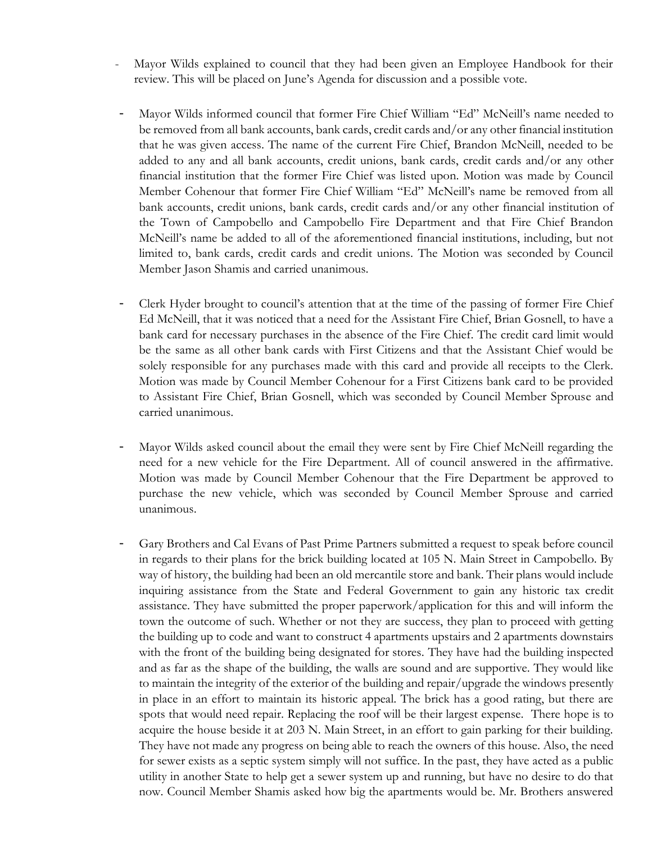- Mayor Wilds explained to council that they had been given an Employee Handbook for their review. This will be placed on June's Agenda for discussion and a possible vote.
- Mayor Wilds informed council that former Fire Chief William "Ed" McNeill's name needed to be removed from all bank accounts, bank cards, credit cards and/or any other financial institution that he was given access. The name of the current Fire Chief, Brandon McNeill, needed to be added to any and all bank accounts, credit unions, bank cards, credit cards and/or any other financial institution that the former Fire Chief was listed upon. Motion was made by Council Member Cohenour that former Fire Chief William "Ed" McNeill's name be removed from all bank accounts, credit unions, bank cards, credit cards and/or any other financial institution of the Town of Campobello and Campobello Fire Department and that Fire Chief Brandon McNeill's name be added to all of the aforementioned financial institutions, including, but not limited to, bank cards, credit cards and credit unions. The Motion was seconded by Council Member Jason Shamis and carried unanimous.
- Clerk Hyder brought to council's attention that at the time of the passing of former Fire Chief Ed McNeill, that it was noticed that a need for the Assistant Fire Chief, Brian Gosnell, to have a bank card for necessary purchases in the absence of the Fire Chief. The credit card limit would be the same as all other bank cards with First Citizens and that the Assistant Chief would be solely responsible for any purchases made with this card and provide all receipts to the Clerk. Motion was made by Council Member Cohenour for a First Citizens bank card to be provided to Assistant Fire Chief, Brian Gosnell, which was seconded by Council Member Sprouse and carried unanimous.
- Mayor Wilds asked council about the email they were sent by Fire Chief McNeill regarding the need for a new vehicle for the Fire Department. All of council answered in the affirmative. Motion was made by Council Member Cohenour that the Fire Department be approved to purchase the new vehicle, which was seconded by Council Member Sprouse and carried unanimous.
- Gary Brothers and Cal Evans of Past Prime Partners submitted a request to speak before council in regards to their plans for the brick building located at 105 N. Main Street in Campobello. By way of history, the building had been an old mercantile store and bank. Their plans would include inquiring assistance from the State and Federal Government to gain any historic tax credit assistance. They have submitted the proper paperwork/application for this and will inform the town the outcome of such. Whether or not they are success, they plan to proceed with getting the building up to code and want to construct 4 apartments upstairs and 2 apartments downstairs with the front of the building being designated for stores. They have had the building inspected and as far as the shape of the building, the walls are sound and are supportive. They would like to maintain the integrity of the exterior of the building and repair/upgrade the windows presently in place in an effort to maintain its historic appeal. The brick has a good rating, but there are spots that would need repair. Replacing the roof will be their largest expense. There hope is to acquire the house beside it at 203 N. Main Street, in an effort to gain parking for their building. They have not made any progress on being able to reach the owners of this house. Also, the need for sewer exists as a septic system simply will not suffice. In the past, they have acted as a public utility in another State to help get a sewer system up and running, but have no desire to do that now. Council Member Shamis asked how big the apartments would be. Mr. Brothers answered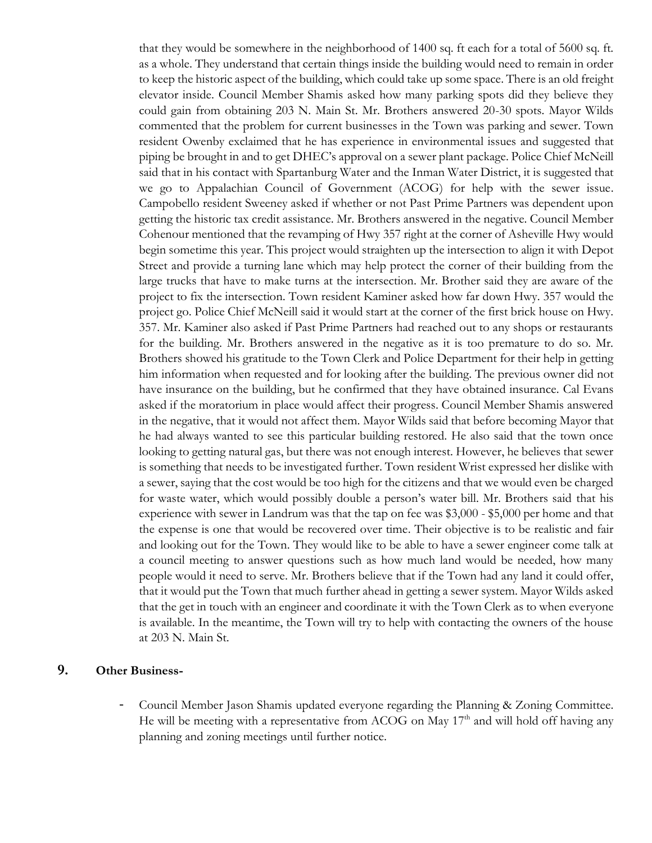that they would be somewhere in the neighborhood of 1400 sq. ft each for a total of 5600 sq. ft. as a whole. They understand that certain things inside the building would need to remain in order to keep the historic aspect of the building, which could take up some space. There is an old freight elevator inside. Council Member Shamis asked how many parking spots did they believe they could gain from obtaining 203 N. Main St. Mr. Brothers answered 20-30 spots. Mayor Wilds commented that the problem for current businesses in the Town was parking and sewer. Town resident Owenby exclaimed that he has experience in environmental issues and suggested that piping be brought in and to get DHEC's approval on a sewer plant package. Police Chief McNeill said that in his contact with Spartanburg Water and the Inman Water District, it is suggested that we go to Appalachian Council of Government (ACOG) for help with the sewer issue. Campobello resident Sweeney asked if whether or not Past Prime Partners was dependent upon getting the historic tax credit assistance. Mr. Brothers answered in the negative. Council Member Cohenour mentioned that the revamping of Hwy 357 right at the corner of Asheville Hwy would begin sometime this year. This project would straighten up the intersection to align it with Depot Street and provide a turning lane which may help protect the corner of their building from the large trucks that have to make turns at the intersection. Mr. Brother said they are aware of the project to fix the intersection. Town resident Kaminer asked how far down Hwy. 357 would the project go. Police Chief McNeill said it would start at the corner of the first brick house on Hwy. 357. Mr. Kaminer also asked if Past Prime Partners had reached out to any shops or restaurants for the building. Mr. Brothers answered in the negative as it is too premature to do so. Mr. Brothers showed his gratitude to the Town Clerk and Police Department for their help in getting him information when requested and for looking after the building. The previous owner did not have insurance on the building, but he confirmed that they have obtained insurance. Cal Evans asked if the moratorium in place would affect their progress. Council Member Shamis answered in the negative, that it would not affect them. Mayor Wilds said that before becoming Mayor that he had always wanted to see this particular building restored. He also said that the town once looking to getting natural gas, but there was not enough interest. However, he believes that sewer is something that needs to be investigated further. Town resident Wrist expressed her dislike with a sewer, saying that the cost would be too high for the citizens and that we would even be charged for waste water, which would possibly double a person's water bill. Mr. Brothers said that his experience with sewer in Landrum was that the tap on fee was \$3,000 - \$5,000 per home and that the expense is one that would be recovered over time. Their objective is to be realistic and fair and looking out for the Town. They would like to be able to have a sewer engineer come talk at a council meeting to answer questions such as how much land would be needed, how many people would it need to serve. Mr. Brothers believe that if the Town had any land it could offer, that it would put the Town that much further ahead in getting a sewer system. Mayor Wilds asked that the get in touch with an engineer and coordinate it with the Town Clerk as to when everyone is available. In the meantime, the Town will try to help with contacting the owners of the house at 203 N. Main St.

## **9. Other Business-**

- Council Member Jason Shamis updated everyone regarding the Planning & Zoning Committee. He will be meeting with a representative from ACOG on May  $17<sup>th</sup>$  and will hold off having any planning and zoning meetings until further notice.